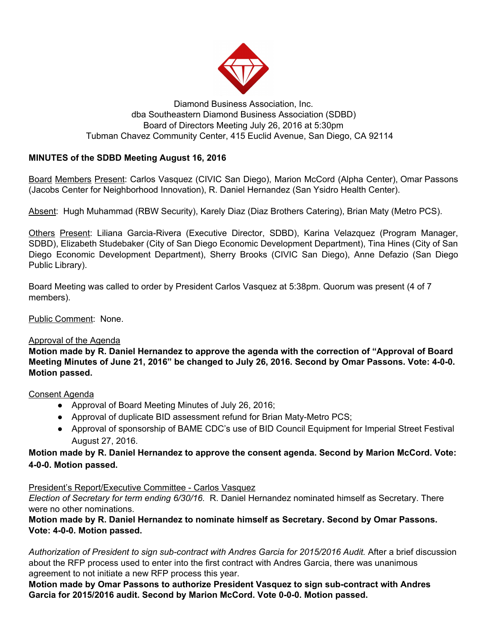

## Diamond Business Association, Inc. dba Southeastern Diamond Business Association (SDBD) Board of Directors Meeting July 26, 2016 at 5:30pm Tubman Chavez Community Center, 415 Euclid Avenue, San Diego, CA 92114

# **MINUTES of the SDBD Meeting August 16, 2016**

Board Members Present: Carlos Vasquez (CIVIC San Diego), Marion McCord (Alpha Center), Omar Passons (Jacobs Center for Neighborhood Innovation), R. Daniel Hernandez (San Ysidro Health Center).

Absent: Hugh Muhammad (RBW Security), Karely Diaz (Diaz Brothers Catering), Brian Maty (Metro PCS).

Others Present: Liliana Garcia-Rivera (Executive Director, SDBD), Karina Velazquez (Program Manager, SDBD), Elizabeth Studebaker (City of San Diego Economic Development Department), Tina Hines (City of San Diego Economic Development Department), Sherry Brooks (CIVIC San Diego), Anne Defazio (San Diego Public Library).

Board Meeting was called to order by President Carlos Vasquez at 5:38pm. Quorum was present (4 of 7 members).

Public Comment: None.

## Approval of the Agenda

**Motion made by R. Daniel Hernandez to approve the agenda with the correction of "Approval of Board Meeting Minutes of June 21, 2016" be changed to July 26, 2016. Second by Omar Passons. Vote: 4-0-0. Motion passed.**

#### Consent Agenda

- Approval of Board Meeting Minutes of July 26, 2016;
- Approval of duplicate BID assessment refund for Brian Maty-Metro PCS;
- Approval of sponsorship of BAME CDC's use of BID Council Equipment for Imperial Street Festival August 27, 2016.

# **Motion made by R. Daniel Hernandez to approve the consent agenda. Second by Marion McCord. Vote: 4-0-0. Motion passed.**

## President's Report/Executive Committee - Carlos Vasquez

*Election of Secretary for term ending 6/30/16.* R. Daniel Hernandez nominated himself as Secretary. There were no other nominations.

**Motion made by R. Daniel Hernandez to nominate himself as Secretary. Second by Omar Passons. Vote: 4-0-0. Motion passed.**

*Authorization of President to sign sub-contract with Andres Garcia for 2015/2016 Audit.* After a brief discussion about the RFP process used to enter into the first contract with Andres Garcia, there was unanimous agreement to not initiate a new RFP process this year.

**Motion made by Omar Passons to authorize President Vasquez to sign sub-contract with Andres Garcia for 2015/2016 audit. Second by Marion McCord. Vote 0-0-0. Motion passed.**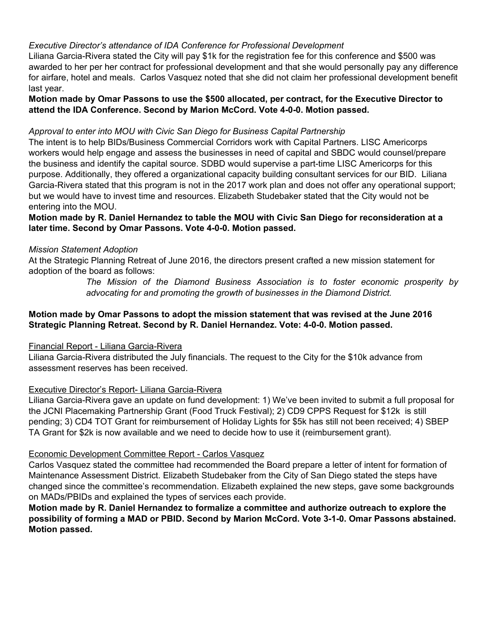## *Executive Director's attendance of IDA Conference for Professional Development*

Liliana Garcia-Rivera stated the City will pay \$1k for the registration fee for this conference and \$500 was awarded to her per her contract for professional development and that she would personally pay any difference for airfare, hotel and meals. Carlos Vasquez noted that she did not claim her professional development benefit last year.

**Motion made by Omar Passons to use the \$500 allocated, per contract, for the Executive Director to attend the IDA Conference. Second by Marion McCord. Vote 4-0-0. Motion passed.**

#### *Approval to enter into MOU with Civic San Diego for Business Capital Partnership*

The intent is to help BIDs/Business Commercial Corridors work with Capital Partners. LISC Americorps workers would help engage and assess the businesses in need of capital and SBDC would counsel/prepare the business and identify the capital source. SDBD would supervise a part-time LISC Americorps for this purpose. Additionally, they offered a organizational capacity building consultant services for our BID. Liliana Garcia-Rivera stated that this program is not in the 2017 work plan and does not offer any operational support; but we would have to invest time and resources. Elizabeth Studebaker stated that the City would not be entering into the MOU.

## **Motion made by R. Daniel Hernandez to table the MOU with Civic San Diego for reconsideration at a later time. Second by Omar Passons. Vote 4-0-0. Motion passed.**

## *Mission Statement Adoption*

At the Strategic Planning Retreat of June 2016, the directors present crafted a new mission statement for adoption of the board as follows:

> *The Mission of the Diamond Business Association is to foster economic prosperity by advocating for and promoting the growth of businesses in the Diamond District.*

## **Motion made by Omar Passons to adopt the mission statement that was revised at the June 2016 Strategic Planning Retreat. Second by R. Daniel Hernandez. Vote: 4-0-0. Motion passed.**

#### Financial Report - Liliana Garcia-Rivera

Liliana Garcia-Rivera distributed the July financials. The request to the City for the \$10k advance from assessment reserves has been received.

#### Executive Director's Report- Liliana Garcia-Rivera

Liliana Garcia-Rivera gave an update on fund development: 1) We've been invited to submit a full proposal for the JCNI Placemaking Partnership Grant (Food Truck Festival); 2) CD9 CPPS Request for \$12k is still pending; 3) CD4 TOT Grant for reimbursement of Holiday Lights for \$5k has still not been received; 4) SBEP TA Grant for \$2k is now available and we need to decide how to use it (reimbursement grant).

#### Economic Development Committee Report - Carlos Vasquez

Carlos Vasquez stated the committee had recommended the Board prepare a letter of intent for formation of Maintenance Assessment District. Elizabeth Studebaker from the City of San Diego stated the steps have changed since the committee's recommendation. Elizabeth explained the new steps, gave some backgrounds on MADs/PBIDs and explained the types of services each provide.

**Motion made by R. Daniel Hernandez to formalize a committee and authorize outreach to explore the possibility of forming a MAD or PBID. Second by Marion McCord. Vote 3-1-0. Omar Passons abstained. Motion passed.**